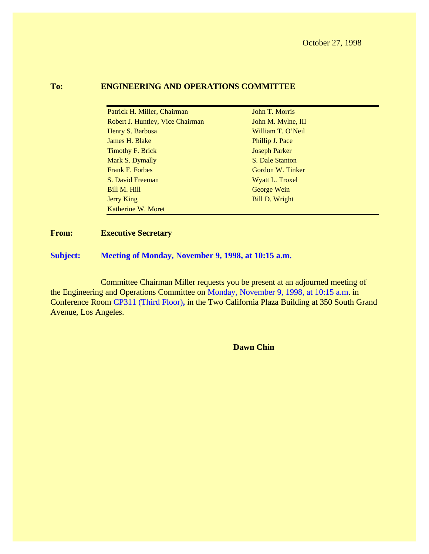# **To: ENGINEERING AND OPERATIONS COMMITTEE**

| Patrick H. Miller, Chairman      | John T. Morris       |
|----------------------------------|----------------------|
| Robert J. Huntley, Vice Chairman | John M. Mylne, III   |
| Henry S. Barbosa                 | William T. O'Neil    |
| James H. Blake                   | Phillip J. Pace      |
| <b>Timothy F. Brick</b>          | <b>Joseph Parker</b> |
| Mark S. Dymally                  | S. Dale Stanton      |
| <b>Frank F. Forbes</b>           | Gordon W. Tinker     |
| S. David Freeman                 | Wyatt L. Troxel      |
| Bill M. Hill                     | George Wein          |
| Jerry King                       | Bill D. Wright       |
| Katherine W. Moret               |                      |

## **From: Executive Secretary**

**Subject: Meeting of Monday, November 9, 1998, at 10:15 a.m.**

Committee Chairman Miller requests you be present at an adjourned meeting of the Engineering and Operations Committee on Monday, November 9, 1998, at 10:15 a.m. in Conference Room CP311 (Third Floor)**,** in the Two California Plaza Building at 350 South Grand Avenue, Los Angeles.

**Dawn Chin**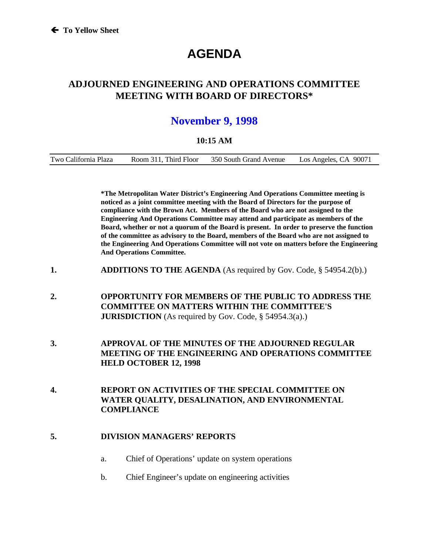# **AGENDA**

# **ADJOURNED ENGINEERING AND OPERATIONS COMMITTEE MEETING WITH BOARD OF DIRECTORS\***

# **November 9, 1998**

#### **10:15 AM**

|--|

**\*The Metropolitan Water District's Engineering And Operations Committee meeting is noticed as a joint committee meeting with the Board of Directors for the purpose of compliance with the Brown Act. Members of the Board who are not assigned to the Engineering And Operations Committee may attend and participate as members of the Board, whether or not a quorum of the Board is present. In order to preserve the function of the committee as advisory to the Board, members of the Board who are not assigned to the Engineering And Operations Committee will not vote on matters before the Engineering And Operations Committee.**

- **1. ADDITIONS TO THE AGENDA** (As required by Gov. Code, § 54954.2(b).)
- **2. OPPORTUNITY FOR MEMBERS OF THE PUBLIC TO ADDRESS THE COMMITTEE ON MATTERS WITHIN THE COMMITTEE'S JURISDICTION** (As required by Gov. Code, § 54954.3(a).)
- **3. APPROVAL OF THE MINUTES OF THE ADJOURNED REGULAR MEETING OF THE ENGINEERING AND OPERATIONS COMMITTEE HELD OCTOBER 12, 1998**
- **4. REPORT ON ACTIVITIES OF THE SPECIAL COMMITTEE ON WATER QUALITY, DESALINATION, AND ENVIRONMENTAL COMPLIANCE**

#### **5. DIVISION MANAGERS' REPORTS**

- a. Chief of Operations' update on system operations
- b. Chief Engineer's update on engineering activities